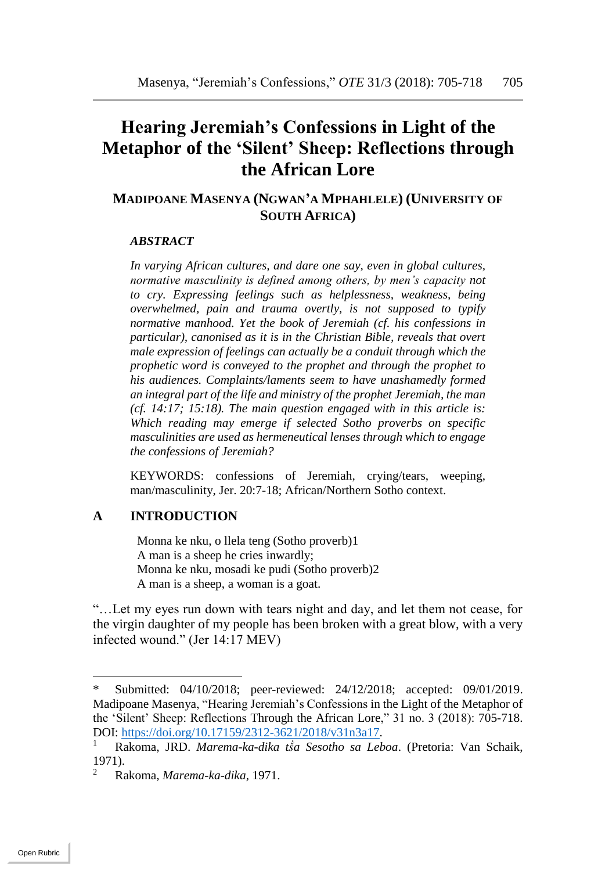# **Hearing Jeremiah's Confessions in Light of the Metaphor of the 'Silent' Sheep: Reflections through the African Lore**

## **MADIPOANE MASENYA (NGWAN'A MPHAHLELE) (UNIVERSITY OF SOUTH AFRICA)**

#### *ABSTRACT*

*In varying African cultures, and dare one say, even in global cultures, normative masculinity is defined among others, by men's capacity not to cry. Expressing feelings such as helplessness, weakness, being overwhelmed, pain and trauma overtly, is not supposed to typify normative manhood. Yet the book of Jeremiah (cf. his confessions in particular), canonised as it is in the Christian Bible, reveals that overt male expression of feelings can actually be a conduit through which the prophetic word is conveyed to the prophet and through the prophet to his audiences. Complaints/laments seem to have unashamedly formed an integral part of the life and ministry of the prophet Jeremiah, the man (cf. 14:17; 15:18). The main question engaged with in this article is: Which reading may emerge if selected Sotho proverbs on specific masculinities are used as hermeneutical lenses through which to engage the confessions of Jeremiah?* 

KEYWORDS: confessions of Jeremiah, crying/tears, weeping, man/masculinity, Jer. 20:7-18; African/Northern Sotho context.

### **A INTRODUCTION**

Monna ke nku, o llela teng (Sotho proverb)1 A man is a sheep he cries inwardly; Monna ke nku, mosadi ke pudi (Sotho proverb)2 A man is a sheep, a woman is a goat.

"…Let my eyes run down with tears night and day, and let them not cease, for the virgin daughter of my people has been broken with a great blow, with a very infected wound." (Jer 14:17 MEV)

 $\overline{a}$ 

<sup>\*</sup> Submitted: 04/10/2018; peer-reviewed: 24/12/2018; accepted: 09/01/2019. Madipoane Masenya, "Hearing Jeremiah's Confessions in the Light of the Metaphor of the 'Silent' Sheep: Reflections Through the African Lore," 31 no. 3 (2018): 705-718. DOI: [https://doi.org/10.17159/2312-3621/2018/v31n3a17.](https://doi.org/10.17159/2312-3621/2018/v31n3a17)

<sup>1</sup> Rakoma, JRD. *Marema-ka-dika tṧa Sesotho sa Leboa*. (Pretoria: Van Schaik, 1971).

<sup>2</sup> Rakoma, *Marema-ka-dika*, 1971.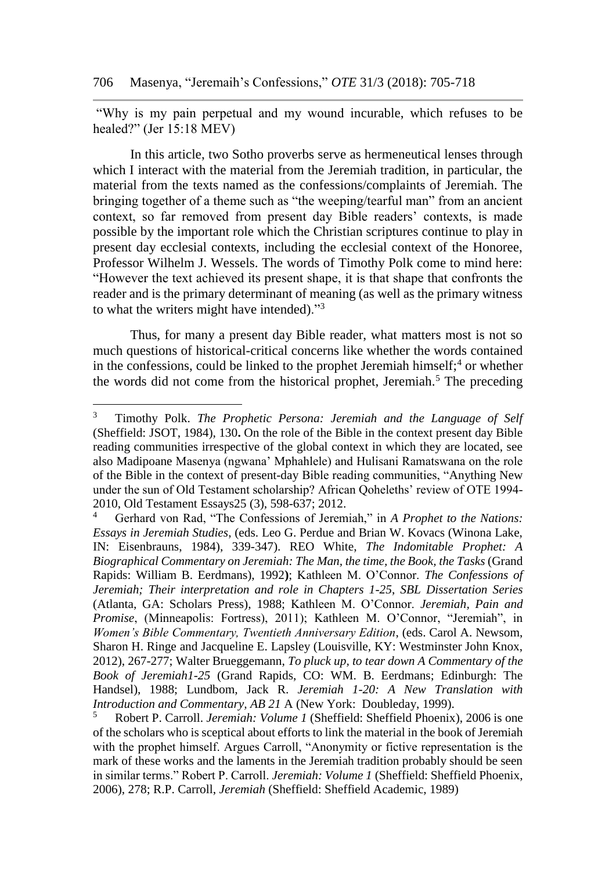"Why is my pain perpetual and my wound incurable, which refuses to be healed?" (Jer 15:18 MEV)

In this article, two Sotho proverbs serve as hermeneutical lenses through which I interact with the material from the Jeremiah tradition, in particular, the material from the texts named as the confessions/complaints of Jeremiah. The bringing together of a theme such as "the weeping/tearful man" from an ancient context, so far removed from present day Bible readers' contexts, is made possible by the important role which the Christian scriptures continue to play in present day ecclesial contexts, including the ecclesial context of the Honoree, Professor Wilhelm J. Wessels. The words of Timothy Polk come to mind here: "However the text achieved its present shape, it is that shape that confronts the reader and is the primary determinant of meaning (as well as the primary witness to what the writers might have intended)."<sup>3</sup>

Thus, for many a present day Bible reader, what matters most is not so much questions of historical-critical concerns like whether the words contained in the confessions, could be linked to the prophet Jeremiah himself;  $4$  or whether the words did not come from the historical prophet, Jeremiah.<sup>5</sup> The preceding

<sup>3</sup> Timothy Polk. *The Prophetic Persona: Jeremiah and the Language of Self* (Sheffield: JSOT, 1984), 130**.** On the role of the Bible in the context present day Bible reading communities irrespective of the global context in which they are located, see also Madipoane Masenya (ngwana' Mphahlele) and Hulisani Ramatswana on the role of the Bible in the context of present-day Bible reading communities, "Anything New under the sun of Old Testament scholarship? African Qoheleths' review of OTE 1994- 2010, Old Testament Essays25 (3), 598-637; 2012.

<sup>4</sup> Gerhard von Rad, "The Confessions of Jeremiah," in *A Prophet to the Nations: Essays in Jeremiah Studies*, (eds. Leo G. Perdue and Brian W. Kovacs (Winona Lake, IN: Eisenbrauns, 1984), 339-347). REO White, *The Indomitable Prophet: A Biographical Commentary on Jeremiah: The Man, the time, the Book, the Tasks* (Grand Rapids: William B. Eerdmans), 1992**)**; Kathleen M. O'Connor. *The Confessions of Jeremiah; Their interpretation and role in Chapters 1-25*, *SBL Dissertation Series* (Atlanta, GA: Scholars Press), 1988; Kathleen M. O'Connor. *Jeremiah, Pain and Promise*, (Minneapolis: Fortress), 2011); Kathleen M. O'Connor, "Jeremiah", in *Women's Bible Commentary, Twentieth Anniversary Edition*, (eds. Carol A. Newsom, Sharon H. Ringe and Jacqueline E. Lapsley (Louisville, KY: Westminster John Knox, 2012), 267-277; Walter Brueggemann, *To pluck up, to tear down A Commentary of the Book of Jeremiah1-25* (Grand Rapids, CO: WM. B. Eerdmans; Edinburgh: The Handsel), 1988; Lundbom, Jack R. *Jeremiah 1-20: A New Translation with Introduction and Commentary, AB 21* A (New York: Doubleday, 1999).

<sup>5</sup> Robert P. Carroll. *Jeremiah: Volume 1* (Sheffield: Sheffield Phoenix), 2006 is one of the scholars who is sceptical about efforts to link the material in the book of Jeremiah with the prophet himself. Argues Carroll, "Anonymity or fictive representation is the mark of these works and the laments in the Jeremiah tradition probably should be seen in similar terms." Robert P. Carroll. *Jeremiah: Volume 1* (Sheffield: Sheffield Phoenix, 2006), 278; R.P. Carroll, *Jeremiah* (Sheffield: Sheffield Academic, 1989)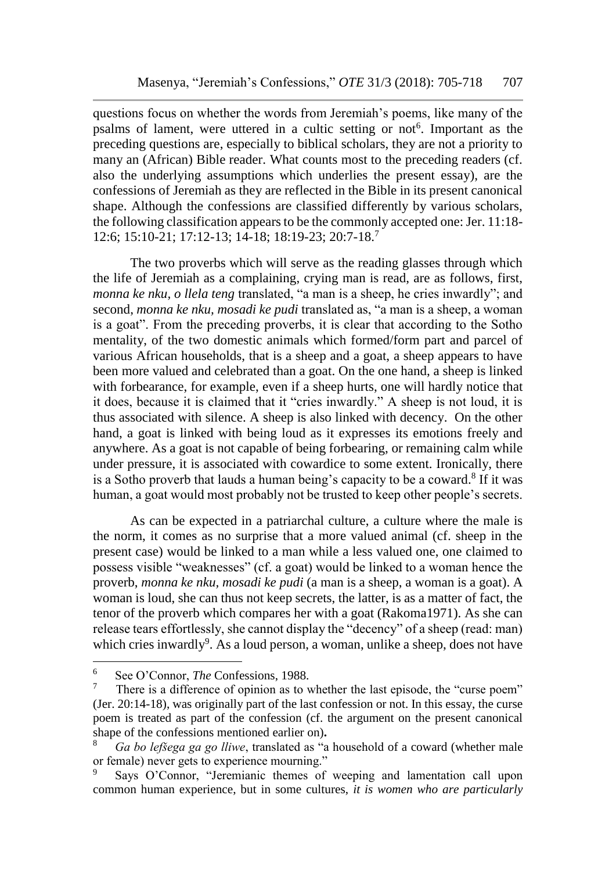questions focus on whether the words from Jeremiah's poems, like many of the psalms of lament, were uttered in a cultic setting or not<sup>6</sup>. Important as the preceding questions are, especially to biblical scholars, they are not a priority to many an (African) Bible reader. What counts most to the preceding readers (cf. also the underlying assumptions which underlies the present essay), are the confessions of Jeremiah as they are reflected in the Bible in its present canonical shape. Although the confessions are classified differently by various scholars, the following classification appears to be the commonly accepted one: Jer. 11:18- 12:6; 15:10-21; 17:12-13; 14-18; 18:19-23; 20:7-18.<sup>7</sup>

The two proverbs which will serve as the reading glasses through which the life of Jeremiah as a complaining, crying man is read, are as follows, first, *monna ke nku, o llela teng* translated, "a man is a sheep, he cries inwardly"; and second, *monna ke nku, mosadi ke pudi* translated as, "a man is a sheep, a woman is a goat". From the preceding proverbs, it is clear that according to the Sotho mentality, of the two domestic animals which formed/form part and parcel of various African households, that is a sheep and a goat, a sheep appears to have been more valued and celebrated than a goat. On the one hand, a sheep is linked with forbearance, for example, even if a sheep hurts, one will hardly notice that it does, because it is claimed that it "cries inwardly." A sheep is not loud, it is thus associated with silence. A sheep is also linked with decency. On the other hand, a goat is linked with being loud as it expresses its emotions freely and anywhere. As a goat is not capable of being forbearing, or remaining calm while under pressure, it is associated with cowardice to some extent. Ironically, there is a Sotho proverb that lauds a human being's capacity to be a coward.<sup>8</sup> If it was human, a goat would most probably not be trusted to keep other people's secrets.

As can be expected in a patriarchal culture, a culture where the male is the norm, it comes as no surprise that a more valued animal (cf. sheep in the present case) would be linked to a man while a less valued one, one claimed to possess visible "weaknesses" (cf. a goat) would be linked to a woman hence the proverb, *monna ke nku, mosadi ke pudi* (a man is a sheep, a woman is a goat). A woman is loud, she can thus not keep secrets, the latter, is as a matter of fact, the tenor of the proverb which compares her with a goat (Rakoma1971). As she can release tears effortlessly, she cannot display the "decency" of a sheep (read: man) which cries inwardly<sup>9</sup>. As a loud person, a woman, unlike a sheep, does not have

 $\overline{a}$ 

<sup>6</sup> See O'Connor, *The* Confessions, 1988.

<sup>7</sup> There is a difference of opinion as to whether the last episode, the "curse poem" (Jer. 20:14-18), was originally part of the last confession or not. In this essay, the curse poem is treated as part of the confession (cf. the argument on the present canonical shape of the confessions mentioned earlier on)**.**

<sup>8</sup> *Ga bo lefšega ga go lliwe*, translated as "a household of a coward (whether male or female) never gets to experience mourning."

Says O'Connor, "Jeremianic themes of weeping and lamentation call upon common human experience, but in some cultures, *it is women who are particularly*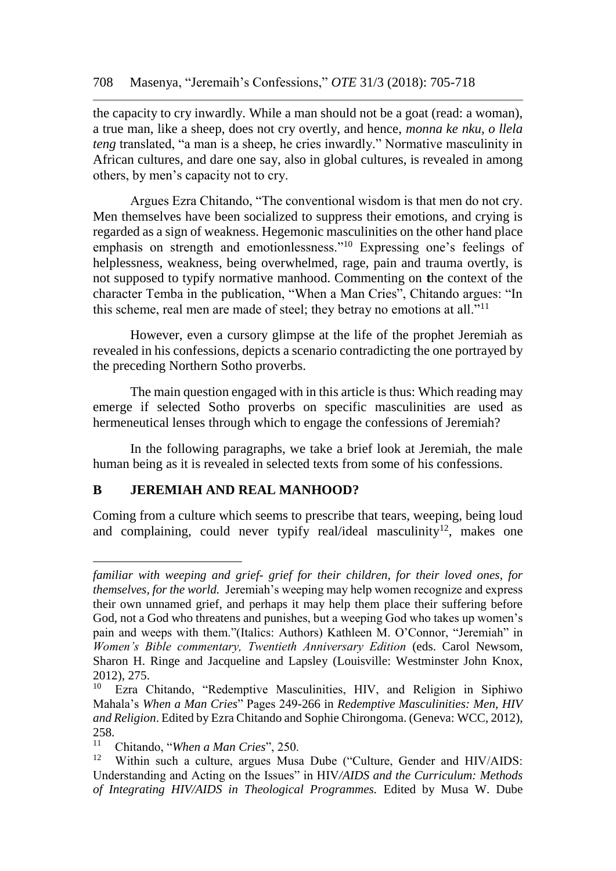the capacity to cry inwardly. While a man should not be a goat (read: a woman), a true man, like a sheep, does not cry overtly, and hence, *monna ke nku, o llela teng* translated, "a man is a sheep, he cries inwardly." Normative masculinity in African cultures, and dare one say, also in global cultures, is revealed in among others, by men's capacity not to cry.

Argues Ezra Chitando, "The conventional wisdom is that men do not cry. Men themselves have been socialized to suppress their emotions, and crying is regarded as a sign of weakness. Hegemonic masculinities on the other hand place emphasis on strength and emotionlessness."<sup>10</sup> Expressing one's feelings of helplessness, weakness, being overwhelmed, rage, pain and trauma overtly, is not supposed to typify normative manhood. Commenting on **t**he context of the character Temba in the publication, "When a Man Cries", Chitando argues: "In this scheme, real men are made of steel; they betray no emotions at all."<sup>11</sup>

However, even a cursory glimpse at the life of the prophet Jeremiah as revealed in his confessions, depicts a scenario contradicting the one portrayed by the preceding Northern Sotho proverbs.

The main question engaged with in this article is thus: Which reading may emerge if selected Sotho proverbs on specific masculinities are used as hermeneutical lenses through which to engage the confessions of Jeremiah?

In the following paragraphs, we take a brief look at Jeremiah, the male human being as it is revealed in selected texts from some of his confessions.

## **B JEREMIAH AND REAL MANHOOD?**

Coming from a culture which seems to prescribe that tears, weeping, being loud and complaining, could never typify real/ideal masculinity<sup>12</sup>, makes one

*familiar with weeping and grief- grief for their children, for their loved ones, for themselves, for the world.* Jeremiah's weeping may help women recognize and express their own unnamed grief, and perhaps it may help them place their suffering before God, not a God who threatens and punishes, but a weeping God who takes up women's pain and weeps with them."(Italics: Authors) Kathleen M. O'Connor, "Jeremiah" in *Women's Bible commentary, Twentieth Anniversary Edition* (eds. Carol Newsom, Sharon H. Ringe and Jacqueline and Lapsley (Louisville: Westminster John Knox,  $2012$ , 275.<br> $10\qquad \text{Ex}$ 

<sup>10</sup> Ezra Chitando, "Redemptive Masculinities, HIV, and Religion in Siphiwo Mahala's *When a Man Cries*" Pages 249-266 in *Redemptive Masculinities: Men, HIV and Religion*. Edited by Ezra Chitando and Sophie Chirongoma. (Geneva: WCC, 2012),  $258.$ 

<sup>11</sup> Chitando, "*When a Man Cries*", 250.

Within such a culture, argues Musa Dube ("Culture, Gender and HIV/AIDS: Understanding and Acting on the Issues" in HIV*/AIDS and the Curriculum: Methods of Integrating HIV/AIDS in Theological Programmes.* Edited by Musa W. Dube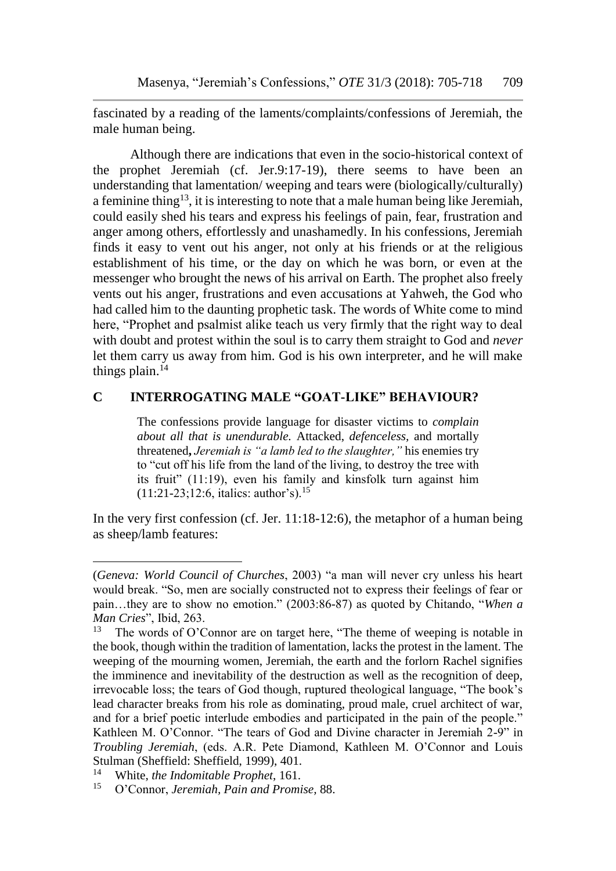fascinated by a reading of the laments/complaints/confessions of Jeremiah, the male human being.

Although there are indications that even in the socio-historical context of the prophet Jeremiah (cf. Jer.9:17-19), there seems to have been an understanding that lamentation/ weeping and tears were (biologically/culturally) a feminine thing<sup>13</sup>, it is interesting to note that a male human being like Jeremiah, could easily shed his tears and express his feelings of pain, fear, frustration and anger among others, effortlessly and unashamedly. In his confessions, Jeremiah finds it easy to vent out his anger, not only at his friends or at the religious establishment of his time, or the day on which he was born, or even at the messenger who brought the news of his arrival on Earth. The prophet also freely vents out his anger, frustrations and even accusations at Yahweh, the God who had called him to the daunting prophetic task. The words of White come to mind here, "Prophet and psalmist alike teach us very firmly that the right way to deal with doubt and protest within the soul is to carry them straight to God and *never* let them carry us away from him. God is his own interpreter, and he will make things plain. $14$ 

## **C INTERROGATING MALE "GOAT-LIKE" BEHAVIOUR?**

The confessions provide language for disaster victims to *complain about all that is unendurable.* Attacked, *defenceless,* and mortally threatened**,** *Jeremiah is "a lamb led to the slaughter,"* his enemies try to "cut off his life from the land of the living, to destroy the tree with its fruit" (11:19), even his family and kinsfolk turn against him  $(11:21-23:12:6,$  italics: author's).<sup>15</sup>

In the very first confession (cf. Jer. 11:18-12:6), the metaphor of a human being as sheep/lamb features:

<sup>(</sup>*Geneva: World Council of Churches*, 2003) "a man will never cry unless his heart would break. "So, men are socially constructed not to express their feelings of fear or pain…they are to show no emotion." (2003:86-87) as quoted by Chitando, "*When a Man Cries*", Ibid, 263.<br><sup>13</sup> The words of O'C

The words of O'Connor are on target here, "The theme of weeping is notable in the book, though within the tradition of lamentation, lacks the protest in the lament. The weeping of the mourning women, Jeremiah, the earth and the forlorn Rachel signifies the imminence and inevitability of the destruction as well as the recognition of deep, irrevocable loss; the tears of God though, ruptured theological language, "The book's lead character breaks from his role as dominating, proud male, cruel architect of war, and for a brief poetic interlude embodies and participated in the pain of the people." Kathleen M. O'Connor. "The tears of God and Divine character in Jeremiah 2-9" in *Troubling Jeremiah*, (eds. A.R. Pete Diamond, Kathleen M. O'Connor and Louis Stulman (Sheffield: Sheffield, 1999), 401.

<sup>14</sup> <sup>14</sup> White, *the Indomitable Prophet*, 161.<br><sup>15</sup> O'Connor Jaramiah Pain and Promi

<sup>15</sup> O'Connor, *Jeremiah, Pain and Promise,* 88.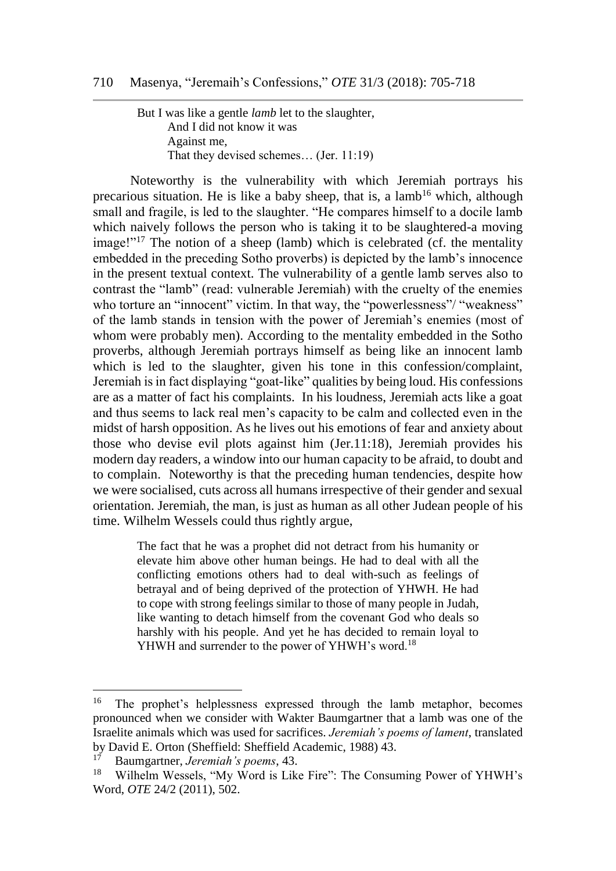But I was like a gentle *lamb* let to the slaughter, And I did not know it was Against me, That they devised schemes… (Jer. 11:19)

Noteworthy is the vulnerability with which Jeremiah portrays his precarious situation. He is like a baby sheep, that is, a lamb<sup>16</sup> which, although small and fragile, is led to the slaughter. "He compares himself to a docile lamb which naively follows the person who is taking it to be slaughtered-a moving image!"<sup>17</sup> The notion of a sheep (lamb) which is celebrated (cf. the mentality embedded in the preceding Sotho proverbs) is depicted by the lamb's innocence in the present textual context. The vulnerability of a gentle lamb serves also to contrast the "lamb" (read: vulnerable Jeremiah) with the cruelty of the enemies who torture an "innocent" victim. In that way, the "powerlessness"/ "weakness" of the lamb stands in tension with the power of Jeremiah's enemies (most of whom were probably men). According to the mentality embedded in the Sotho proverbs, although Jeremiah portrays himself as being like an innocent lamb which is led to the slaughter, given his tone in this confession/complaint, Jeremiah is in fact displaying "goat-like" qualities by being loud. His confessions are as a matter of fact his complaints. In his loudness, Jeremiah acts like a goat and thus seems to lack real men's capacity to be calm and collected even in the midst of harsh opposition. As he lives out his emotions of fear and anxiety about those who devise evil plots against him (Jer.11:18), Jeremiah provides his modern day readers, a window into our human capacity to be afraid, to doubt and to complain. Noteworthy is that the preceding human tendencies, despite how we were socialised, cuts across all humans irrespective of their gender and sexual orientation. Jeremiah, the man, is just as human as all other Judean people of his time. Wilhelm Wessels could thus rightly argue,

> The fact that he was a prophet did not detract from his humanity or elevate him above other human beings. He had to deal with all the conflicting emotions others had to deal with-such as feelings of betrayal and of being deprived of the protection of YHWH. He had to cope with strong feelings similar to those of many people in Judah, like wanting to detach himself from the covenant God who deals so harshly with his people. And yet he has decided to remain loyal to YHWH and surrender to the power of YHWH's word.<sup>18</sup>

<sup>&</sup>lt;sup>16</sup> The prophet's helplessness expressed through the lamb metaphor, becomes pronounced when we consider with Wakter Baumgartner that a lamb was one of the Israelite animals which was used for sacrifices. *Jeremiah's poems of lament*, translated by David E. Orton (Sheffield: Sheffield Academic, 1988) 43.

<sup>17</sup> Baumgartner, *Jeremiah's poems*, 43.

Wilhelm Wessels, "My Word is Like Fire": The Consuming Power of YHWH's Word, *OTE* 24/2 (2011), 502.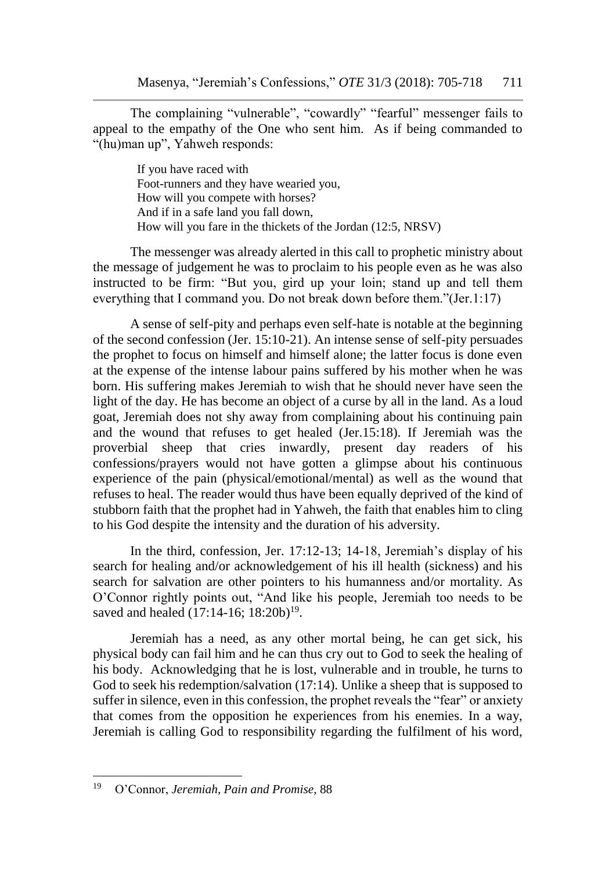The complaining "vulnerable", "cowardly" "fearful" messenger fails to appeal to the empathy of the One who sent him. As if being commanded to "(hu)man up", Yahweh responds:

> If you have raced with Foot-runners and they have wearied you, How will you compete with horses? And if in a safe land you fall down, How will you fare in the thickets of the Jordan (12:5, NRSV)

The messenger was already alerted in this call to prophetic ministry about the message of judgement he was to proclaim to his people even as he was also instructed to be firm: "But you, gird up your loin; stand up and tell them everything that I command you. Do not break down before them."(Jer.1:17)

A sense of self-pity and perhaps even self-hate is notable at the beginning of the second confession (Jer. 15:10-21). An intense sense of self-pity persuades the prophet to focus on himself and himself alone; the latter focus is done even at the expense of the intense labour pains suffered by his mother when he was born. His suffering makes Jeremiah to wish that he should never have seen the light of the day. He has become an object of a curse by all in the land. As a loud goat, Jeremiah does not shy away from complaining about his continuing pain and the wound that refuses to get healed (Jer.15:18). If Jeremiah was the proverbial sheep that cries inwardly, present day readers of his confessions/prayers would not have gotten a glimpse about his continuous experience of the pain (physical/emotional/mental) as well as the wound that refuses to heal. The reader would thus have been equally deprived of the kind of stubborn faith that the prophet had in Yahweh, the faith that enables him to cling to his God despite the intensity and the duration of his adversity.

In the third, confession, Jer. 17:12-13; 14-18, Jeremiah's display of his search for healing and/or acknowledgement of his ill health (sickness) and his search for salvation are other pointers to his humanness and/or mortality. As O'Connor rightly points out, "And like his people, Jeremiah too needs to be saved and healed  $(17:14-16; 18:20b)^{19}$ .

Jeremiah has a need, as any other mortal being, he can get sick, his physical body can fail him and he can thus cry out to God to seek the healing of his body. Acknowledging that he is lost, vulnerable and in trouble, he turns to God to seek his redemption/salvation (17:14). Unlike a sheep that is supposed to suffer in silence, even in this confession, the prophet reveals the "fear" or anxiety that comes from the opposition he experiences from his enemies. In a way, Jeremiah is calling God to responsibility regarding the fulfilment of his word,

<sup>19</sup> <sup>19</sup> O'Connor, *Jeremiah, Pain and Promise*, 88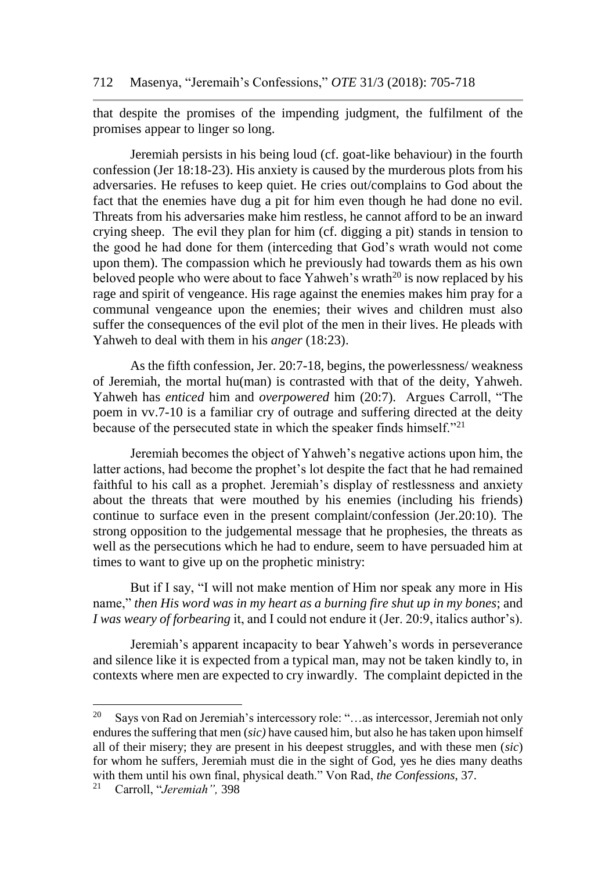that despite the promises of the impending judgment, the fulfilment of the promises appear to linger so long.

Jeremiah persists in his being loud (cf. goat-like behaviour) in the fourth confession (Jer 18:18-23). His anxiety is caused by the murderous plots from his adversaries. He refuses to keep quiet. He cries out/complains to God about the fact that the enemies have dug a pit for him even though he had done no evil. Threats from his adversaries make him restless, he cannot afford to be an inward crying sheep. The evil they plan for him (cf. digging a pit) stands in tension to the good he had done for them (interceding that God's wrath would not come upon them). The compassion which he previously had towards them as his own beloved people who were about to face Yahweh's wrath<sup>20</sup> is now replaced by his rage and spirit of vengeance. His rage against the enemies makes him pray for a communal vengeance upon the enemies; their wives and children must also suffer the consequences of the evil plot of the men in their lives. He pleads with Yahweh to deal with them in his *anger* (18:23).

As the fifth confession, Jer. 20:7-18, begins, the powerlessness/ weakness of Jeremiah, the mortal hu(man) is contrasted with that of the deity, Yahweh. Yahweh has *enticed* him and *overpowered* him (20:7).Argues Carroll, "The poem in vv.7-10 is a familiar cry of outrage and suffering directed at the deity because of the persecuted state in which the speaker finds himself."<sup>21</sup>

Jeremiah becomes the object of Yahweh's negative actions upon him, the latter actions, had become the prophet's lot despite the fact that he had remained faithful to his call as a prophet. Jeremiah's display of restlessness and anxiety about the threats that were mouthed by his enemies (including his friends) continue to surface even in the present complaint/confession (Jer.20:10). The strong opposition to the judgemental message that he prophesies, the threats as well as the persecutions which he had to endure, seem to have persuaded him at times to want to give up on the prophetic ministry:

But if I say, "I will not make mention of Him nor speak any more in His name," *then His word was in my heart as a burning fire shut up in my bones*; and *I was weary of forbearing* it, and I could not endure it (Jer. 20:9, italics author's).

Jeremiah's apparent incapacity to bear Yahweh's words in perseverance and silence like it is expected from a typical man, may not be taken kindly to, in contexts where men are expected to cry inwardly. The complaint depicted in the

<sup>20</sup> Says von Rad on Jeremiah's intercessory role: "…as intercessor, Jeremiah not only endures the suffering that men (*sic)* have caused him, but also he has taken upon himself all of their misery; they are present in his deepest struggles, and with these men (*sic*) for whom he suffers, Jeremiah must die in the sight of God, yes he dies many deaths with them until his own final, physical death." Von Rad, *the Confessions*, 37.

<sup>21</sup> Carroll, "*Jeremiah",* 398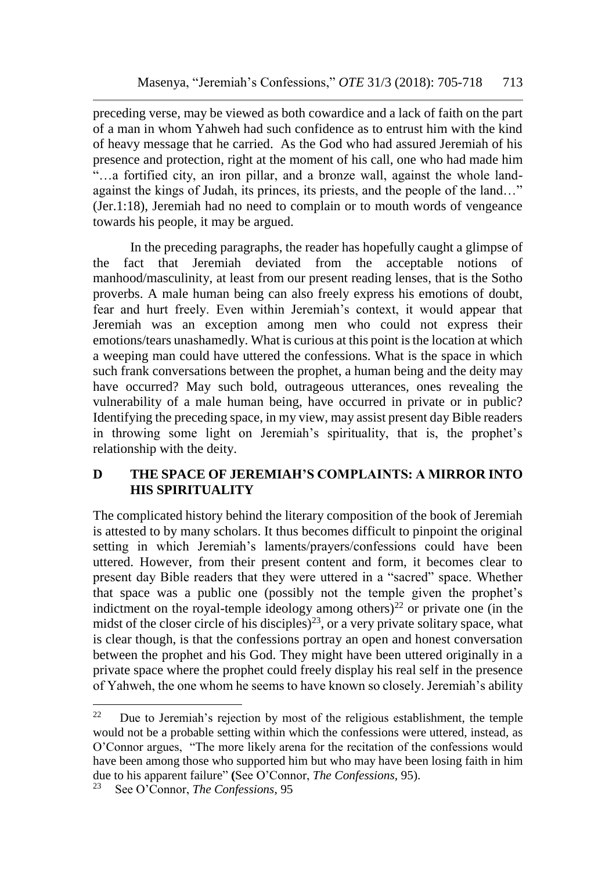preceding verse, may be viewed as both cowardice and a lack of faith on the part of a man in whom Yahweh had such confidence as to entrust him with the kind of heavy message that he carried. As the God who had assured Jeremiah of his presence and protection, right at the moment of his call, one who had made him "…a fortified city, an iron pillar, and a bronze wall, against the whole landagainst the kings of Judah, its princes, its priests, and the people of the land…" (Jer.1:18), Jeremiah had no need to complain or to mouth words of vengeance towards his people, it may be argued.

In the preceding paragraphs, the reader has hopefully caught a glimpse of the fact that Jeremiah deviated from the acceptable notions of manhood/masculinity, at least from our present reading lenses, that is the Sotho proverbs. A male human being can also freely express his emotions of doubt, fear and hurt freely. Even within Jeremiah's context, it would appear that Jeremiah was an exception among men who could not express their emotions/tears unashamedly. What is curious at this point is the location at which a weeping man could have uttered the confessions. What is the space in which such frank conversations between the prophet, a human being and the deity may have occurred? May such bold, outrageous utterances, ones revealing the vulnerability of a male human being, have occurred in private or in public? Identifying the preceding space, in my view, may assist present day Bible readers in throwing some light on Jeremiah's spirituality, that is, the prophet's relationship with the deity.

# **D THE SPACE OF JEREMIAH'S COMPLAINTS: A MIRROR INTO HIS SPIRITUALITY**

The complicated history behind the literary composition of the book of Jeremiah is attested to by many scholars. It thus becomes difficult to pinpoint the original setting in which Jeremiah's laments/prayers/confessions could have been uttered. However, from their present content and form, it becomes clear to present day Bible readers that they were uttered in a "sacred" space. Whether that space was a public one (possibly not the temple given the prophet's indictment on the royal-temple ideology among others)<sup>22</sup> or private one (in the midst of the closer circle of his disciples)<sup>23</sup>, or a very private solitary space, what is clear though, is that the confessions portray an open and honest conversation between the prophet and his God. They might have been uttered originally in a private space where the prophet could freely display his real self in the presence of Yahweh, the one whom he seems to have known so closely. Jeremiah's ability

<sup>22</sup> Due to Jeremiah's rejection by most of the religious establishment, the temple would not be a probable setting within which the confessions were uttered, instead, as O'Connor argues, "The more likely arena for the recitation of the confessions would have been among those who supported him but who may have been losing faith in him due to his apparent failure" **(**See O'Connor, *The Confessions*, 95).

See O'Connor, *The Confessions*, 95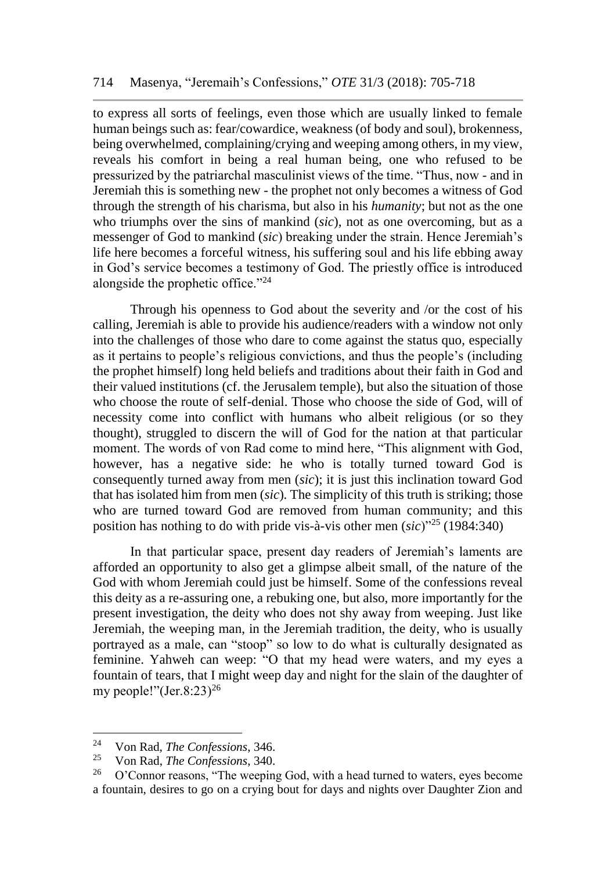to express all sorts of feelings, even those which are usually linked to female human beings such as: fear/cowardice, weakness (of body and soul), brokenness, being overwhelmed, complaining/crying and weeping among others, in my view, reveals his comfort in being a real human being, one who refused to be pressurized by the patriarchal masculinist views of the time. "Thus, now - and in Jeremiah this is something new - the prophet not only becomes a witness of God through the strength of his charisma, but also in his *humanity*; but not as the one who triumphs over the sins of mankind (*sic*), not as one overcoming, but as a messenger of God to mankind (*sic*) breaking under the strain. Hence Jeremiah's life here becomes a forceful witness, his suffering soul and his life ebbing away in God's service becomes a testimony of God. The priestly office is introduced alongside the prophetic office."<sup>24</sup>

Through his openness to God about the severity and /or the cost of his calling, Jeremiah is able to provide his audience/readers with a window not only into the challenges of those who dare to come against the status quo, especially as it pertains to people's religious convictions, and thus the people's (including the prophet himself) long held beliefs and traditions about their faith in God and their valued institutions (cf. the Jerusalem temple), but also the situation of those who choose the route of self-denial. Those who choose the side of God, will of necessity come into conflict with humans who albeit religious (or so they thought), struggled to discern the will of God for the nation at that particular moment. The words of von Rad come to mind here, "This alignment with God, however, has a negative side: he who is totally turned toward God is consequently turned away from men (*sic*); it is just this inclination toward God that has isolated him from men (*sic*)*.* The simplicity of this truth is striking; those who are turned toward God are removed from human community; and this position has nothing to do with pride vis-à-vis other men (*sic*)"<sup>25</sup> (1984:340)

In that particular space, present day readers of Jeremiah's laments are afforded an opportunity to also get a glimpse albeit small, of the nature of the God with whom Jeremiah could just be himself. Some of the confessions reveal this deity as a re-assuring one, a rebuking one, but also, more importantly for the present investigation, the deity who does not shy away from weeping. Just like Jeremiah, the weeping man, in the Jeremiah tradition, the deity, who is usually portrayed as a male, can "stoop" so low to do what is culturally designated as feminine. Yahweh can weep: "O that my head were waters, and my eyes a fountain of tears, that I might weep day and night for the slain of the daughter of my people!"(Jer.8:23)<sup>26</sup>

 $\overline{a}$ 

<sup>24</sup> Von Rad, *The Confessions*, 346.

<sup>25</sup> Von Rad, *The Confessions*, 340.

<sup>26</sup> O'Connor reasons, "The weeping God, with a head turned to waters, eyes become a fountain, desires to go on a crying bout for days and nights over Daughter Zion and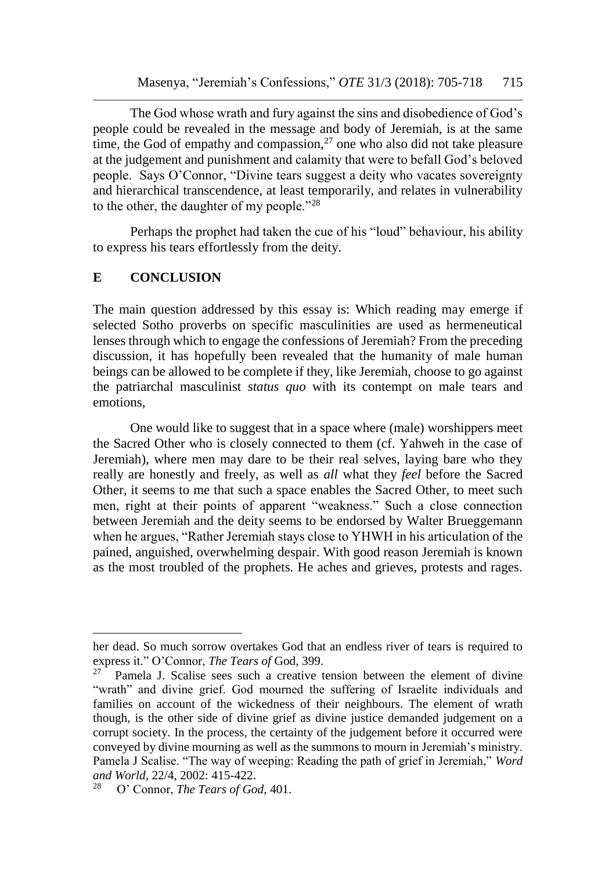The God whose wrath and fury against the sins and disobedience of God's people could be revealed in the message and body of Jeremiah, is at the same time, the God of empathy and compassion, $2<sup>7</sup>$  one who also did not take pleasure at the judgement and punishment and calamity that were to befall God's beloved people. Says O'Connor, "Divine tears suggest a deity who vacates sovereignty and hierarchical transcendence, at least temporarily, and relates in vulnerability to the other, the daughter of my people."<sup>28</sup>

Perhaps the prophet had taken the cue of his "loud" behaviour, his ability to express his tears effortlessly from the deity.

### **E CONCLUSION**

The main question addressed by this essay is: Which reading may emerge if selected Sotho proverbs on specific masculinities are used as hermeneutical lenses through which to engage the confessions of Jeremiah? From the preceding discussion, it has hopefully been revealed that the humanity of male human beings can be allowed to be complete if they, like Jeremiah, choose to go against the patriarchal masculinist *status quo* with its contempt on male tears and emotions,

One would like to suggest that in a space where (male) worshippers meet the Sacred Other who is closely connected to them (cf. Yahweh in the case of Jeremiah), where men may dare to be their real selves, laying bare who they really are honestly and freely, as well as *all* what they *feel* before the Sacred Other, it seems to me that such a space enables the Sacred Other, to meet such men, right at their points of apparent "weakness." Such a close connection between Jeremiah and the deity seems to be endorsed by Walter Brueggemann when he argues, "Rather Jeremiah stays close to YHWH in his articulation of the pained, anguished, overwhelming despair. With good reason Jeremiah is known as the most troubled of the prophets. He aches and grieves, protests and rages.

her dead. So much sorrow overtakes God that an endless river of tears is required to express it." O'Connor, *The Tears of* God, 399.

 $27$  Pamela J. Scalise sees such a creative tension between the element of divine "wrath" and divine grief. God mourned the suffering of Israelite individuals and families on account of the wickedness of their neighbours. The element of wrath though, is the other side of divine grief as divine justice demanded judgement on a corrupt society. In the process, the certainty of the judgement before it occurred were conveyed by divine mourning as well as the summons to mourn in Jeremiah's ministry. Pamela J Scalise. "The way of weeping: Reading the path of grief in Jeremiah," *Word and World*, 22/4, 2002: 415-422.

<sup>28</sup> O' Connor, *The Tears of God,* 401.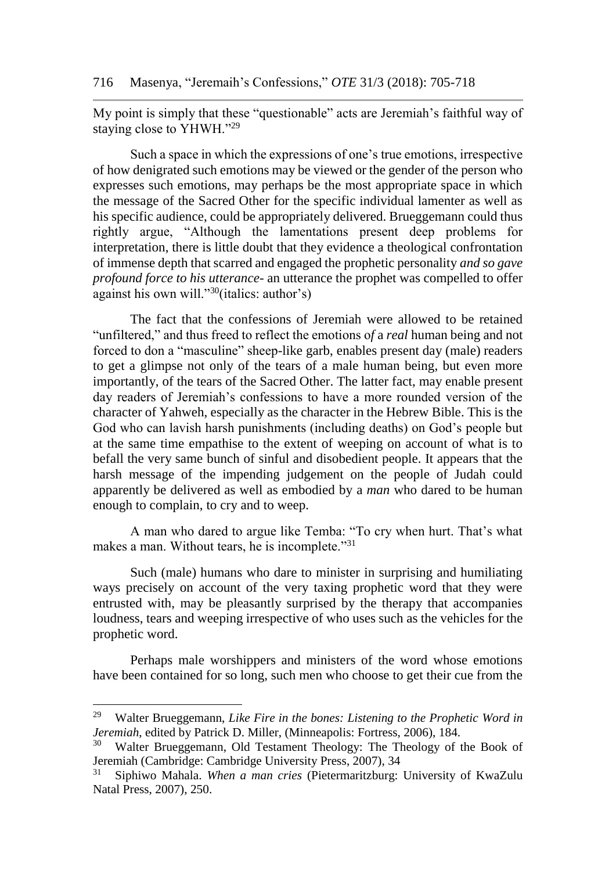My point is simply that these "questionable" acts are Jeremiah's faithful way of staying close to YHWH."<sup>29</sup>

Such a space in which the expressions of one's true emotions, irrespective of how denigrated such emotions may be viewed or the gender of the person who expresses such emotions, may perhaps be the most appropriate space in which the message of the Sacred Other for the specific individual lamenter as well as his specific audience, could be appropriately delivered. Brueggemann could thus rightly argue, "Although the lamentations present deep problems for interpretation, there is little doubt that they evidence a theological confrontation of immense depth that scarred and engaged the prophetic personality *and so gave profound force to his utterance*- an utterance the prophet was compelled to offer against his own will."<sup>30</sup>(italics: author's)

The fact that the confessions of Jeremiah were allowed to be retained "unfiltered," and thus freed to reflect the emotions o*f* a *real* human being and not forced to don a "masculine" sheep-like garb, enables present day (male) readers to get a glimpse not only of the tears of a male human being, but even more importantly, of the tears of the Sacred Other. The latter fact, may enable present day readers of Jeremiah's confessions to have a more rounded version of the character of Yahweh, especially as the character in the Hebrew Bible. This is the God who can lavish harsh punishments (including deaths) on God's people but at the same time empathise to the extent of weeping on account of what is to befall the very same bunch of sinful and disobedient people. It appears that the harsh message of the impending judgement on the people of Judah could apparently be delivered as well as embodied by a *man* who dared to be human enough to complain, to cry and to weep.

A man who dared to argue like Temba: "To cry when hurt. That's what makes a man. Without tears, he is incomplete."<sup>31</sup>

Such (male) humans who dare to minister in surprising and humiliating ways precisely on account of the very taxing prophetic word that they were entrusted with, may be pleasantly surprised by the therapy that accompanies loudness, tears and weeping irrespective of who uses such as the vehicles for the prophetic word.

Perhaps male worshippers and ministers of the word whose emotions have been contained for so long, such men who choose to get their cue from the

<sup>29</sup> Walter Brueggemann, *Like Fire in the bones: Listening to the Prophetic Word in Jeremiah*, edited by Patrick D. Miller, (Minneapolis: Fortress, 2006), 184.

<sup>30</sup> Walter Brueggemann, Old Testament Theology: The Theology of the Book of Jeremiah (Cambridge: Cambridge University Press, 2007), 34

<sup>31</sup> Siphiwo Mahala. *When a man cries* (Pietermaritzburg: University of KwaZulu Natal Press, 2007), 250.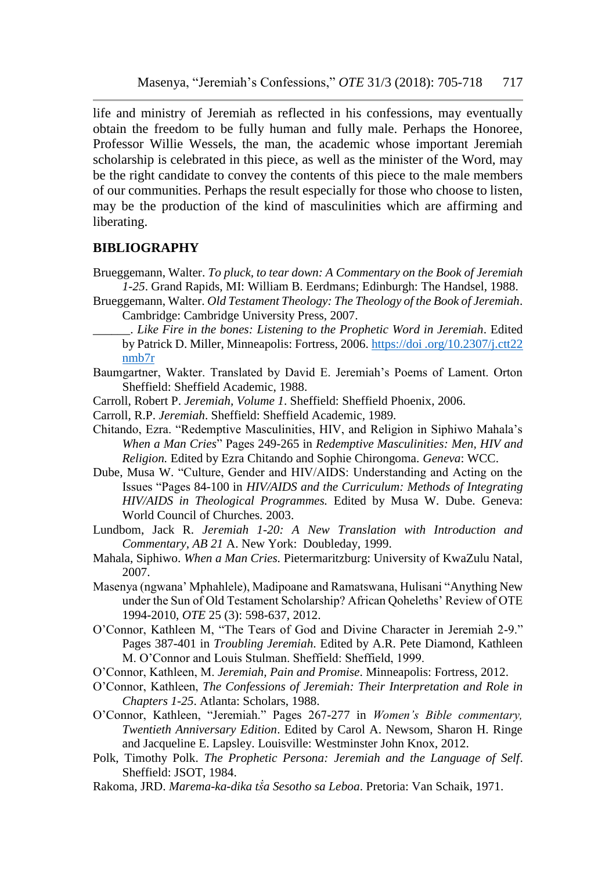life and ministry of Jeremiah as reflected in his confessions, may eventually obtain the freedom to be fully human and fully male. Perhaps the Honoree, Professor Willie Wessels, the man, the academic whose important Jeremiah scholarship is celebrated in this piece, as well as the minister of the Word, may be the right candidate to convey the contents of this piece to the male members of our communities. Perhaps the result especially for those who choose to listen, may be the production of the kind of masculinities which are affirming and liberating.

#### **BIBLIOGRAPHY**

- Brueggemann, Walter. *To pluck, to tear down: A Commentary on the Book of Jeremiah 1-25*. Grand Rapids, MI: William B. Eerdmans; Edinburgh: The Handsel, 1988.
- Brueggemann, Walter. *Old Testament Theology: The Theology of the Book of Jeremiah*. Cambridge: Cambridge University Press, 2007.
	- \_\_\_\_\_\_. *Like Fire in the bones: Listening to the Prophetic Word in Jeremiah*. Edited by Patrick D. Miller, Minneapolis: Fortress, 2006. https://doi .org/10.2307/j.ctt22 nmb7r
- Baumgartner, Wakter. Translated by David E. Jeremiah's Poems of Lament. Orton Sheffield: Sheffield Academic, 1988.
- Carroll, Robert P. *Jeremiah, Volume 1*. Sheffield: Sheffield Phoenix, 2006.
- Carroll, R.P. *Jeremiah*. Sheffield: Sheffield Academic, 1989.
- Chitando, Ezra. "Redemptive Masculinities, HIV, and Religion in Siphiwo Mahala's *When a Man Cries*" Pages 249-265 in *Redemptive Masculinities: Men, HIV and Religion.* Edited by Ezra Chitando and Sophie Chirongoma. *Geneva*: WCC.
- Dube, Musa W. "Culture, Gender and HIV/AIDS: Understanding and Acting on the Issues "Pages 84-100 in *HIV/AIDS and the Curriculum: Methods of Integrating HIV/AIDS in Theological Programmes.* Edited by Musa W. Dube. Geneva: World Council of Churches*.* 2003.
- Lundbom, Jack R. *Jeremiah 1-20: A New Translation with Introduction and Commentary, AB 21* A. New York: Doubleday, 1999.
- Mahala, Siphiwo. *When a Man Cries.* Pietermaritzburg: University of KwaZulu Natal, 2007.
- Masenya (ngwana' Mphahlele), Madipoane and Ramatswana, Hulisani "Anything New under the Sun of Old Testament Scholarship? African Qoheleths' Review of OTE 1994-2010, *OTE* 25 (3): 598-637, 2012.
- O'Connor, Kathleen M, "The Tears of God and Divine Character in Jeremiah 2-9." Pages 387-401 in *Troubling Jeremiah*. Edited by A.R. Pete Diamond, Kathleen M. O'Connor and Louis Stulman. Sheffield: Sheffield, 1999.
- O'Connor, Kathleen, M. *Jeremiah, Pain and Promise*. Minneapolis: Fortress, 2012.
- O'Connor, Kathleen, *The Confessions of Jeremiah: Their Interpretation and Role in Chapters 1-25*. Atlanta: Scholars, 1988.
- O'Connor, Kathleen, "Jeremiah." Pages 267-277 in *Women's Bible commentary, Twentieth Anniversary Edition*. Edited by Carol A. Newsom, Sharon H. Ringe and Jacqueline E. Lapsley. Louisville: Westminster John Knox, 2012.
- Polk, Timothy Polk. *The Prophetic Persona: Jeremiah and the Language of Self*. Sheffield: JSOT, 1984.
- Rakoma, JRD. *Marema-ka-dika tṧa Sesotho sa Leboa*. Pretoria: Van Schaik, 1971.